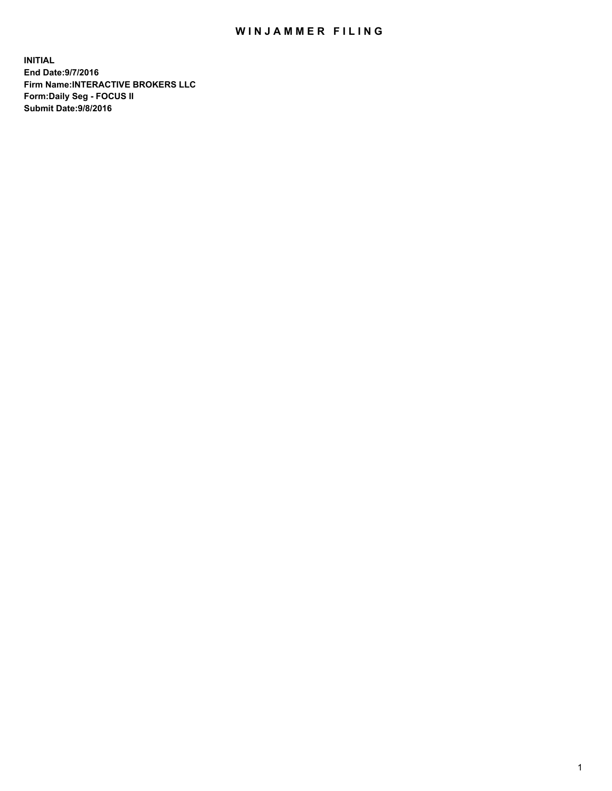## WIN JAMMER FILING

**INITIAL End Date:9/7/2016 Firm Name:INTERACTIVE BROKERS LLC Form:Daily Seg - FOCUS II Submit Date:9/8/2016**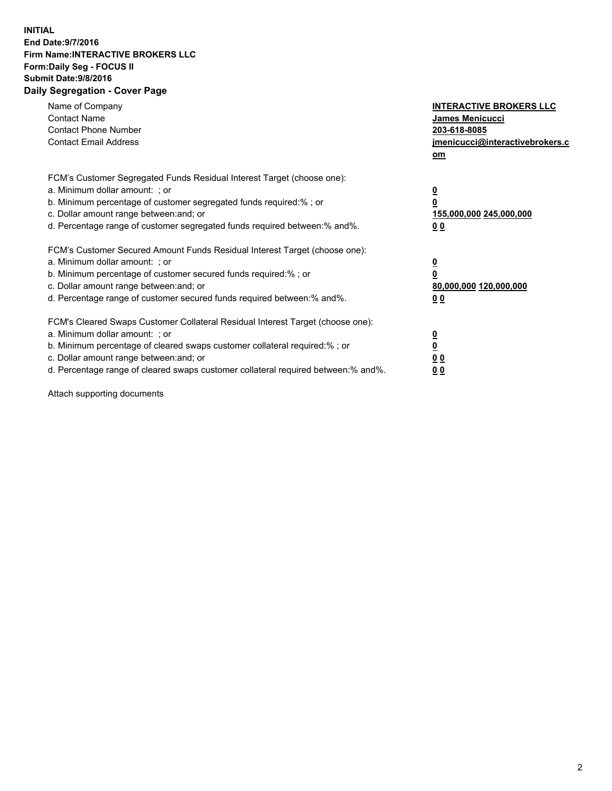## **INITIAL End Date:9/7/2016 Firm Name:INTERACTIVE BROKERS LLC Form:Daily Seg - FOCUS II Submit Date:9/8/2016 Daily Segregation - Cover Page**

| Name of Company<br><b>Contact Name</b><br><b>Contact Phone Number</b><br><b>Contact Email Address</b>                                                                                                                                                                                                                          | <b>INTERACTIVE BROKERS LLC</b><br>James Menicucci<br>203-618-8085<br>jmenicucci@interactivebrokers.c<br>om |
|--------------------------------------------------------------------------------------------------------------------------------------------------------------------------------------------------------------------------------------------------------------------------------------------------------------------------------|------------------------------------------------------------------------------------------------------------|
| FCM's Customer Segregated Funds Residual Interest Target (choose one):<br>a. Minimum dollar amount: ; or<br>b. Minimum percentage of customer segregated funds required:%; or<br>c. Dollar amount range between: and; or<br>d. Percentage range of customer segregated funds required between:% and%.                          | $\overline{\mathbf{0}}$<br>$\overline{\mathbf{0}}$<br>155,000,000 245,000,000<br>00                        |
| FCM's Customer Secured Amount Funds Residual Interest Target (choose one):<br>a. Minimum dollar amount: ; or<br>b. Minimum percentage of customer secured funds required:%; or<br>c. Dollar amount range between: and; or<br>d. Percentage range of customer secured funds required between: % and %.                          | $\overline{\mathbf{0}}$<br>0<br>80,000,000 120,000,000<br>00                                               |
| FCM's Cleared Swaps Customer Collateral Residual Interest Target (choose one):<br>a. Minimum dollar amount: ; or<br>b. Minimum percentage of cleared swaps customer collateral required:% ; or<br>c. Dollar amount range between: and; or<br>d. Percentage range of cleared swaps customer collateral required between:% and%. | $\overline{\mathbf{0}}$<br>$\underline{\mathbf{0}}$<br>0 <sub>0</sub><br>0 <sub>0</sub>                    |

Attach supporting documents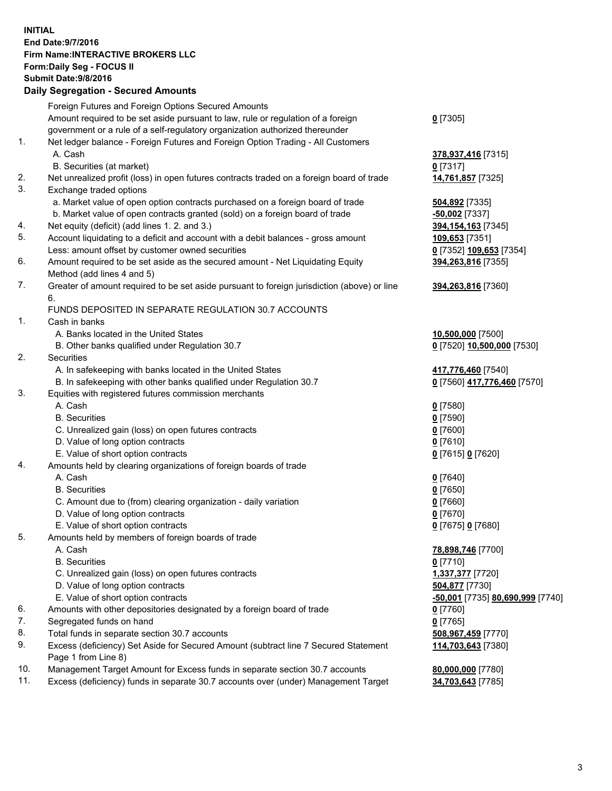## **INITIAL End Date:9/7/2016 Firm Name:INTERACTIVE BROKERS LLC Form:Daily Seg - FOCUS II Submit Date:9/8/2016 Daily Segregation - Secured Amounts**

|     | Foreign Futures and Foreign Options Secured Amounts                                         |                                  |
|-----|---------------------------------------------------------------------------------------------|----------------------------------|
|     | Amount required to be set aside pursuant to law, rule or regulation of a foreign            | $0$ [7305]                       |
|     | government or a rule of a self-regulatory organization authorized thereunder                |                                  |
| 1.  | Net ledger balance - Foreign Futures and Foreign Option Trading - All Customers             |                                  |
|     | A. Cash                                                                                     | 378,937,416 [7315]               |
|     | B. Securities (at market)                                                                   | $0$ [7317]                       |
| 2.  | Net unrealized profit (loss) in open futures contracts traded on a foreign board of trade   | 14,761,857 [7325]                |
| 3.  | Exchange traded options                                                                     |                                  |
|     | a. Market value of open option contracts purchased on a foreign board of trade              | 504,892 [7335]                   |
|     | b. Market value of open contracts granted (sold) on a foreign board of trade                | -50,002 [7337]                   |
| 4.  | Net equity (deficit) (add lines 1. 2. and 3.)                                               | 394, 154, 163 [7345]             |
| 5.  | Account liquidating to a deficit and account with a debit balances - gross amount           | 109,653 [7351]                   |
|     | Less: amount offset by customer owned securities                                            | 0 [7352] 109,653 [7354]          |
| 6.  | Amount required to be set aside as the secured amount - Net Liquidating Equity              | 394,263,816 [7355]               |
|     | Method (add lines 4 and 5)                                                                  |                                  |
| 7.  | Greater of amount required to be set aside pursuant to foreign jurisdiction (above) or line | 394,263,816 [7360]               |
|     | 6.                                                                                          |                                  |
|     | FUNDS DEPOSITED IN SEPARATE REGULATION 30.7 ACCOUNTS                                        |                                  |
| 1.  | Cash in banks                                                                               |                                  |
|     | A. Banks located in the United States                                                       | 10,500,000 [7500]                |
|     | B. Other banks qualified under Regulation 30.7                                              | 0 [7520] 10,500,000 [7530]       |
| 2.  | Securities                                                                                  |                                  |
|     | A. In safekeeping with banks located in the United States                                   | 417,776,460 [7540]               |
|     | B. In safekeeping with other banks qualified under Regulation 30.7                          | 0 [7560] 417,776,460 [7570]      |
| 3.  | Equities with registered futures commission merchants                                       |                                  |
|     | A. Cash                                                                                     | $0$ [7580]                       |
|     | <b>B.</b> Securities                                                                        | $0$ [7590]                       |
|     | C. Unrealized gain (loss) on open futures contracts                                         | $0$ [7600]                       |
|     | D. Value of long option contracts                                                           | $0$ [7610]                       |
|     | E. Value of short option contracts                                                          | 0 [7615] 0 [7620]                |
| 4.  | Amounts held by clearing organizations of foreign boards of trade                           |                                  |
|     | A. Cash                                                                                     | $0$ [7640]                       |
|     | <b>B.</b> Securities                                                                        | $0$ [7650]                       |
|     | C. Amount due to (from) clearing organization - daily variation                             | $0$ [7660]                       |
|     | D. Value of long option contracts                                                           | $0$ [7670]                       |
|     | E. Value of short option contracts                                                          | 0 [7675] 0 [7680]                |
| 5.  | Amounts held by members of foreign boards of trade                                          |                                  |
|     | A. Cash                                                                                     | 78,898,746 [7700]                |
|     | <b>B.</b> Securities                                                                        | $0$ [7710]                       |
|     | C. Unrealized gain (loss) on open futures contracts                                         | 1,337,377 [7720]                 |
|     | D. Value of long option contracts                                                           | 504,877 [7730]                   |
|     | E. Value of short option contracts                                                          | -50,001 [7735] 80,690,999 [7740] |
| 6.  | Amounts with other depositories designated by a foreign board of trade                      | $0$ [7760]                       |
| 7.  | Segregated funds on hand                                                                    | $0$ [7765]                       |
| 8.  | Total funds in separate section 30.7 accounts                                               | 508,967,459 [7770]               |
| 9.  | Excess (deficiency) Set Aside for Secured Amount (subtract line 7 Secured Statement         | 114,703,643 [7380]               |
|     | Page 1 from Line 8)                                                                         |                                  |
| 10. | Management Target Amount for Excess funds in separate section 30.7 accounts                 | 80,000,000 [7780]                |
| 11. | Excess (deficiency) funds in separate 30.7 accounts over (under) Management Target          | 34,703,643 [7785]                |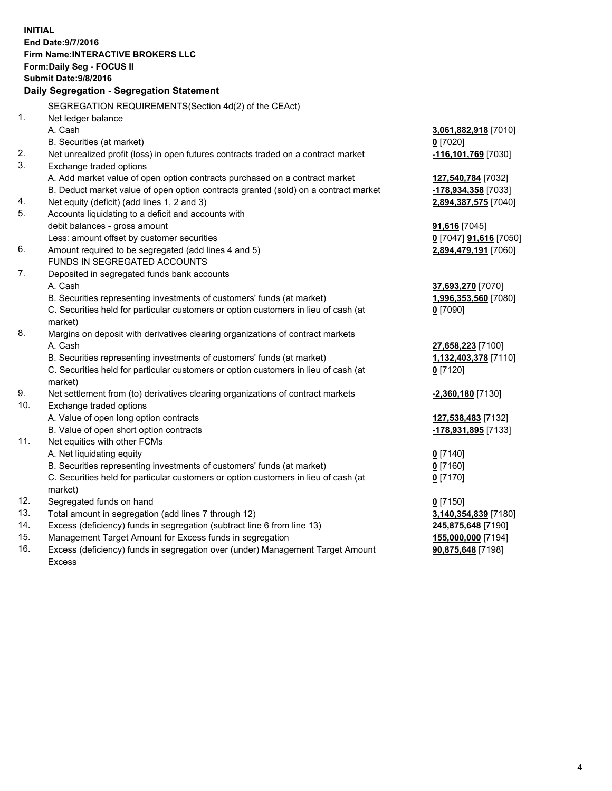**INITIAL End Date:9/7/2016 Firm Name:INTERACTIVE BROKERS LLC Form:Daily Seg - FOCUS II Submit Date:9/8/2016 Daily Segregation - Segregation Statement** SEGREGATION REQUIREMENTS(Section 4d(2) of the CEAct) 1. Net ledger balance A. Cash **3,061,882,918** [7010] B. Securities (at market) **0** [7020] 2. Net unrealized profit (loss) in open futures contracts traded on a contract market **-116,101,769** [7030] 3. Exchange traded options A. Add market value of open option contracts purchased on a contract market **127,540,784** [7032] B. Deduct market value of open option contracts granted (sold) on a contract market **-178,934,358** [7033] 4. Net equity (deficit) (add lines 1, 2 and 3) **2,894,387,575** [7040] 5. Accounts liquidating to a deficit and accounts with debit balances - gross amount **91,616** [7045] Less: amount offset by customer securities **0** [7047] **91,616** [7050] 6. Amount required to be segregated (add lines 4 and 5) **2,894,479,191** [7060] FUNDS IN SEGREGATED ACCOUNTS 7. Deposited in segregated funds bank accounts A. Cash **37,693,270** [7070] B. Securities representing investments of customers' funds (at market) **1,996,353,560** [7080] C. Securities held for particular customers or option customers in lieu of cash (at market) **0** [7090] 8. Margins on deposit with derivatives clearing organizations of contract markets A. Cash **27,658,223** [7100] B. Securities representing investments of customers' funds (at market) **1,132,403,378** [7110] C. Securities held for particular customers or option customers in lieu of cash (at market) **0** [7120] 9. Net settlement from (to) derivatives clearing organizations of contract markets **-2,360,180** [7130] 10. Exchange traded options A. Value of open long option contracts **127,538,483** [7132] B. Value of open short option contracts **-178,931,895** [7133] 11. Net equities with other FCMs A. Net liquidating equity **0** [7140] B. Securities representing investments of customers' funds (at market) **0** [7160] C. Securities held for particular customers or option customers in lieu of cash (at market) **0** [7170] 12. Segregated funds on hand **0** [7150] 13. Total amount in segregation (add lines 7 through 12) **3,140,354,839** [7180] 14. Excess (deficiency) funds in segregation (subtract line 6 from line 13) **245,875,648** [7190] 15. Management Target Amount for Excess funds in segregation **155,000,000** [7194] 16. Excess (deficiency) funds in segregation over (under) Management Target Amount **90,875,648** [7198]

Excess